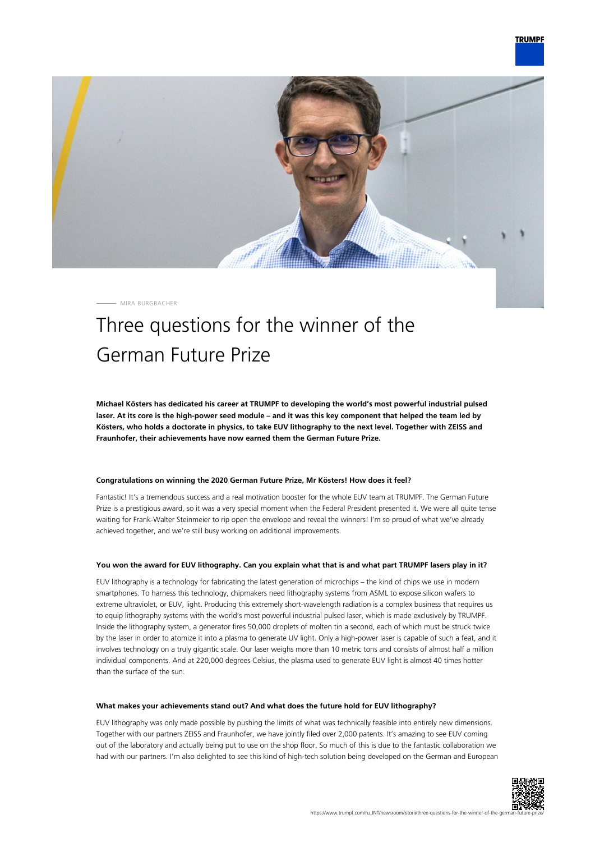

MIRA BURGBACHER

## Three questions for the winner of the German Future Prize

**Michael Kösters has dedicated his career at TRUMPF to developing the world's most powerful industrial pulsed laser. At its core is the high-power seed module – and it was this key component that helped the team led by Kösters, who holds a doctorate in physics, to take EUV lithography to the next level. Together with ZEISS and Fraunhofer, their achievements have now earned them the German Future Prize.**

## **Congratulations on winning the 2020 German Future Prize, Mr Kösters! How does it feel?**

Fantastic! It's a tremendous success and a real motivation booster for the whole EUV team at TRUMPF. The German Future Prize is a prestigious award, so it was a very special moment when the Federal President presented it. We were all quite tense waiting for Frank-Walter Steinmeier to rip open the envelope and reveal the winners! I'm so proud of what we've already achieved together, and we're still busy working on additional improvements.

## **You won the award for EUV lithography. Can you explain what that is and what part TRUMPF lasers play in it?**

EUV lithography is a technology for fabricating the latest generation of microchips – the kind of chips we use in modern smartphones. To harness this technology, chipmakers need lithography systems from ASML to expose silicon wafers to extreme ultraviolet, or EUV, light. Producing this extremely short-wavelength radiation is a complex business that requires us to equip lithography systems with the world's most powerful industrial pulsed laser, which is made exclusively by TRUMPF. Inside the lithography system, a generator fires 50,000 droplets of molten tin a second, each of which must be struck twice by the laser in order to atomize it into a plasma to generate UV light. Only a high-power laser is capable of such a feat, and it involves technology on a truly gigantic scale. Our laser weighs more than 10 metric tons and consists of almost half a million individual components. And at 220,000 degrees Celsius, the plasma used to generate EUV light is almost 40 times hotter than the surface of the sun.

## **What makes your achievements stand out? And what does the future hold for EUV lithography?**

EUV lithography was only made possible by pushing the limits of what was technically feasible into entirely new dimensions. Together with our partners ZEISS and Fraunhofer, we have jointly filed over 2,000 patents. It's amazing to see EUV coming out of the laboratory and actually being put to use on the shop floor. So much of this is due to the fantastic collaboration we had with our partners. I'm also delighted to see this kind of high-tech solution being developed on the German and European